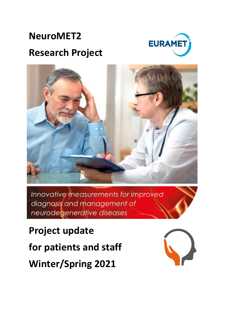

# **NeuroMET2 Research Project**



Innovative measurements for improved diagnosis and management of neurodegenerative diseases

**Project update for patients and staff Winter/Spring 2021**

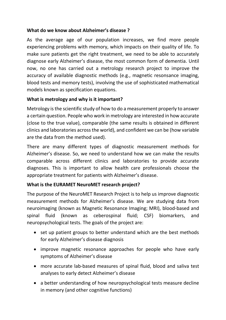### **What do we know about Alzheimer's disease ?**

As the average age of our population increases, we find more people experiencing problems with memory, which impacts on their quality of life. To make sure patients get the right treatment, we need to be able to accurately diagnose early Alzheimer's disease, the most common form of dementia. Until now, no one has carried out a metrology research project to improve the accuracy of available diagnostic methods (e.g., magnetic resonsance imaging, blood tests and memory tests), involving the use of sophisticated mathematical models known as specification equations.

## **What is metrology and why is it important?**

Metrology is the scientific study of how to do a measurement properly to answer a certain question. People who work in metrology are interested in how accurate (close to the true value), comparable (the same results is obtained in different clinics and laboratories across the world), and confident we can be (how variable are the data from the method used).

There are many different types of diagnostic measurement methods for Alzheimer's disease. So, we need to understand how we can make the results comparable across different clinics and laboratories to provide accurate diagnoses. This is important to allow health care professionals choose the appropriate treatment for patients with Alzheimer's disease.

# **What is the EURAMET NeuroMET research project?**

The purpose of the NeuroMET Research Project is to help us improve diagnostic measurement methods for Alzheimer's disease. We are studying data from neuroimaging (known as Magnetic Resonance Imaging; MRI), blood-based and spinal fluid (known as ceberospinal fluid; CSF) biomarkers, and neuropsychological tests. The goals of the project are:

- set up patient groups to better understand which are the best methods for early Alzheimer's disease diagnosis
- improve magnetic resonance approaches for people who have early symptoms of Alzheimer's disease
- more accurate lab-based measures of spinal fluid, blood and saliva test analyses to early detect Alzheimer's disease
- a better understanding of how neuropsychological tests measure decline in memory (and other cognitive functions)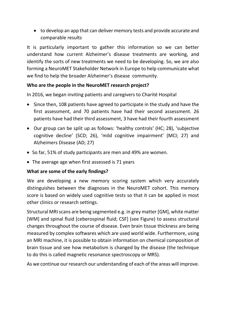to develop an app that can deliver memory tests and provide accurate and comparable results

It is particularly important to gather this information so we can better understand how current Alzheimer's disease treatments are working, and identify the sorts of new treatments we need to be developing. So, we are also forming a NeuroMET Stakeholder Network in Europe to help communicate what we find to help the broader Alzheimer's disease community.

#### **Who are the people in the NeuroMET research project?**

In 2016, we began inviting patients and caregivers to Charité Hospital

- Since then, 108 patients have agreed to participate in the study and have the first assessment, and 70 patients have had their second assessment. 26 patients have had their third assessment, 3 have had their fourth assessment
- Our group can be split up as follows: 'healthy controls' (HC; 28), 'subjective cognitive decline' (SCD; 26), 'mild cognitive impairment' (MCI; 27) and Alzheimers Disease (AD; 27)
- So far, 51% of study participants are men and 49% are women.
- The average age when first assessed is 71 years

# **What are some of the early findings?**

We are developing a new memory scoring system which very accurately distinguishes between the diagnoses in the NeuroMET cohort. This memory score is based on widely used cognitive tests so that it can be applied in most other clinics or research settings.

Structural MRI scans are being segmented e.g. in grey matter [GM], white matter [WM] and spinal fluid [ceberospinal fluid; CSF] (see Figure) to assess structural changes throughout the course of disease. Even brain tissue thickness are being measured by complex softwares which are used world wide. Furthermore, using an MRI machine, it is possible to obtain information on chemical composition of brain tissue and see how metabolism is changed by the disease (the technique to do this is called magnetic resonance spectroscopy or MRS).

As we continue our research our understanding of each of the areas will improve.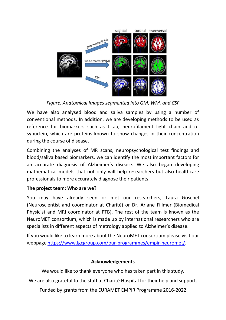

*Figure: Anatomical Images segmented into GM, WM, and CSF*

We have also analysed blood and saliva samples by using a number of conventional methods. In addition, we are developing methods to be used as reference for biomarkers such as t-tau, neurofilament light chain and αsynuclein, which are proteins known to show changes in their concentration during the course of disease.

Combining the analyses of MR scans, neuropsychological test findings and blood/saliva based biomarkers, we can identify the most important factors for an accurate diagnosis of Alzheimer's disease. We also began developing mathematical models that not only will help researchers but also healthcare professionals to more accurately diagnose their patients.

# **The project team: Who are we?**

You may have already seen or met our researchers, Laura Göschel (Neuroscientist and coordinator at Charité) or Dr. Ariane Fillmer (Biomedical Physicist and MRI coordinator at PTB). The rest of the team is known as the NeuroMET consortium, which is made up by international researchers who are specialists in different aspects of metrology applied to Alzheimer's disease.

If you would like to learn more about the NeuroMET consortium please visit our webpage https://www.lgcgroup.com/our-programmes/empir-neuromet/.

#### **Acknowledgements**

We would like to thank everyone who has taken part in this study.

We are also grateful to the staff at Charité Hospital for their help and support.

Funded by grants from the EURAMET EMPIR Programme 2016-2022